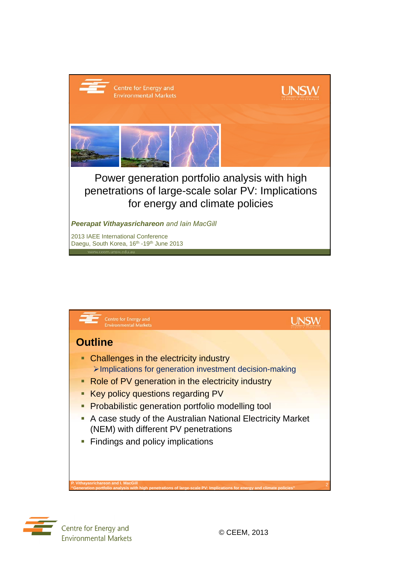





Centre for Energy and **Environmental Markets**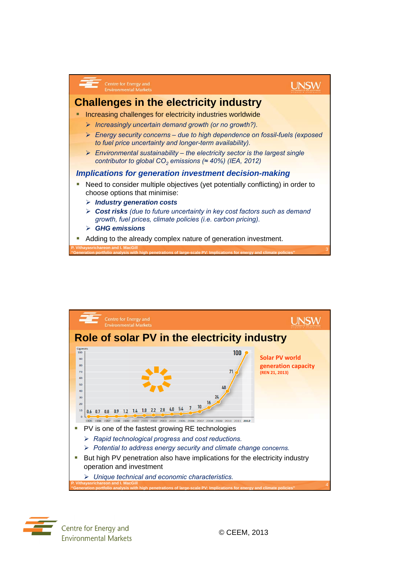



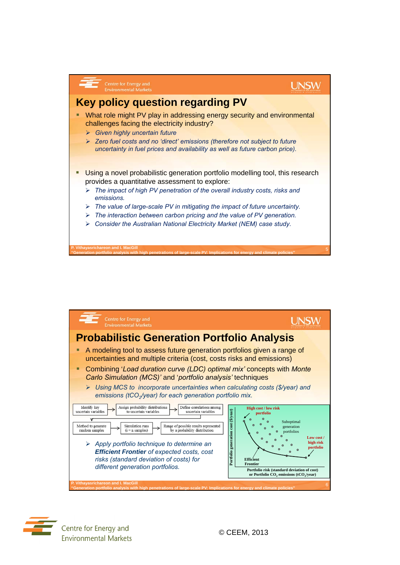



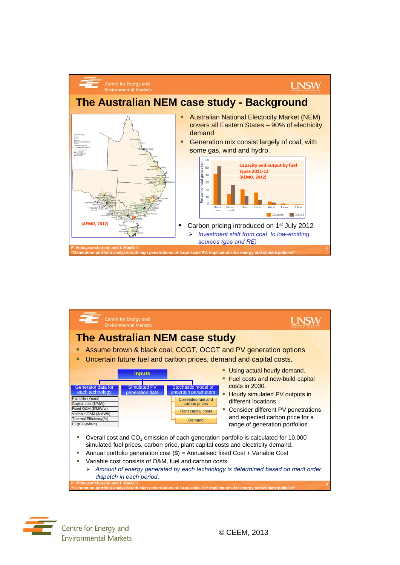



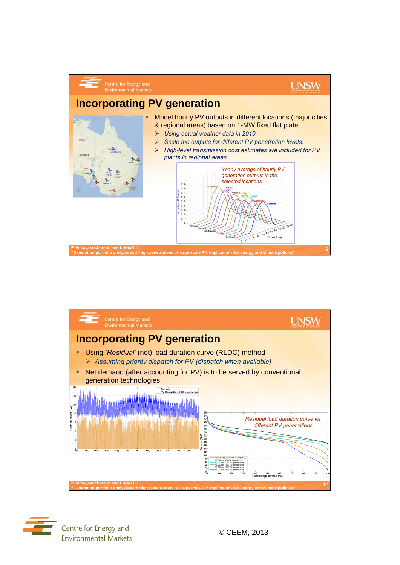



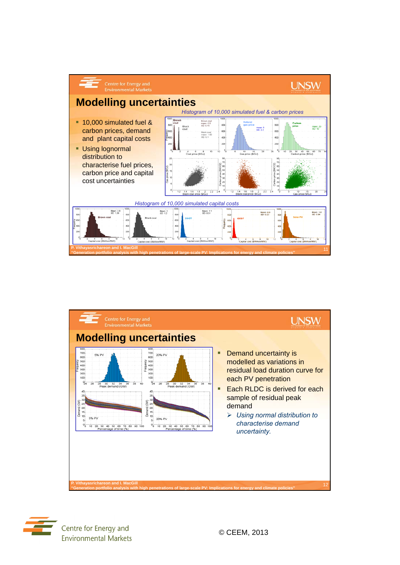



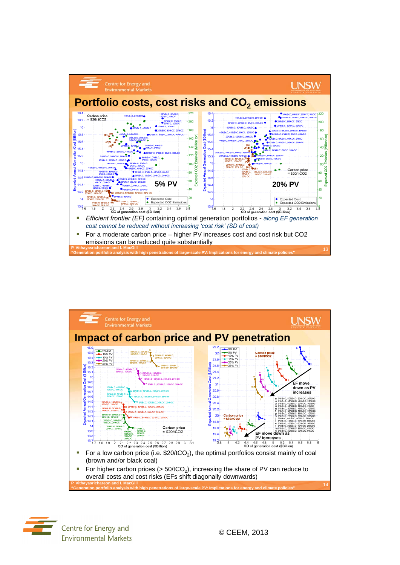



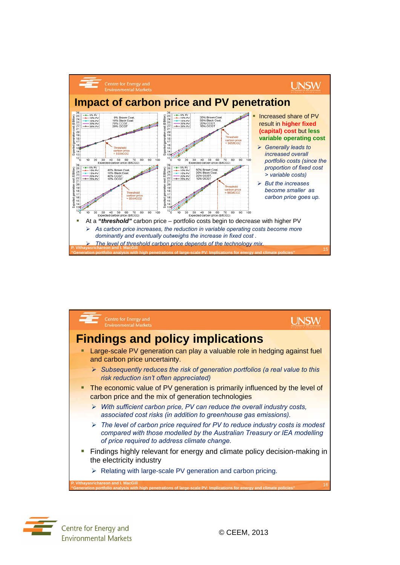





Centre for Energy and **Environmental Markets**